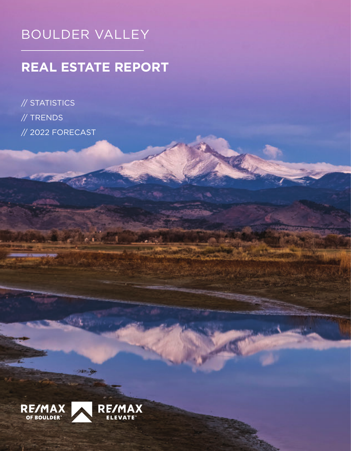# BOULDER VALLEY

# **REAL ESTATE REPORT**

// STATISTICS // TRENDS // 2022 FORECAST

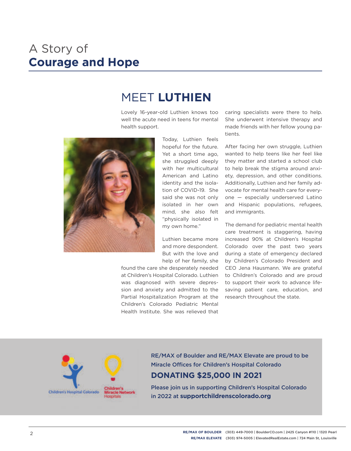# A Story of **Courage and Hope**

## MEET **LUTHIEN**

Lovely 16-year-old Luthien knows too well the acute need in teens for mental health support.



Today, Luthien feels hopeful for the future. Yet a short time ago, she struggled deeply with her multicultural American and Latino identity and the isolation of COVID-19. She said she was not only isolated in her own mind, she also felt "physically isolated in my own home."

Luthien became more and more despondent. But with the love and help of her family, she

found the care she desperately needed at Children's Hospital Colorado. Luthien was diagnosed with severe depression and anxiety and admitted to the Partial Hospitalization Program at the Children's Colorado Pediatric Mental Health Institute. She was relieved that

caring specialists were there to help. She underwent intensive therapy and made friends with her fellow young patients.

After facing her own struggle, Luthien wanted to help teens like her feel like they matter and started a school club to help break the stigma around anxiety, depression, and other conditions. Additionally, Luthien and her family advocate for mental health care for everyone — especially underserved Latino and Hispanic populations, refugees, and immigrants.

The demand for pediatric mental health care treatment is staggering, having increased 90% at Children's Hospital Colorado over the past two years during a state of emergency declared by Children's Colorado President and CEO Jena Hausmann. We are grateful to Children's Colorado and are proud to support their work to advance lifesaving patient care, education, and research throughout the state.



RE/MAX of Boulder and RE/MAX Elevate are proud to be Miracle Offices for Children's Hospital Colorado **DONATING \$25,000 IN 2021**

Please join us in supporting Children's Hospital Colorado in 2022 at **supportchildrenscolorado.org**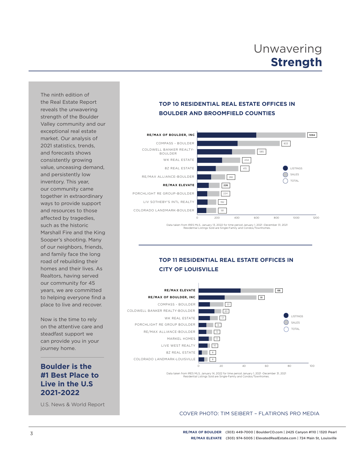# Unwavering **Strength**

The ninth edition of the Real Estate Report reveals the unwavering strength of the Boulder Valley community and our exceptional real estate market. Our analysis of 2021 statistics, trends, and forecasts shows consistently growing value, unceasing demand, and persistently low inventory. This year, our community came together in extraordinary ways to provide support and resources to those affected by tragedies, such as the historic Marshall Fire and the King Sooper's shooting. Many of our neighbors, friends, and family face the long road of rebuilding their homes and their lives. As Realtors, having served our community for 45 years, we are committed to helping everyone find a place to live and recover.

Now is the time to rely on the attentive care and steadfast support we can provide you in your journey home.

#### **Boulder is the #1 Best Place to Live in the U.S 2021-2022**

U.S. News & World Report

#### **TOP 10 RESIDENTIAL REAL ESTATE OFFICES IN BOULDER AND BROOMFIELD COUNTIES**



Data taken from IRES MLS, January 13, 2022 for time period January 1, 2021 -December 31, 2021 Residential Listings Sold are Single-Family and Condos/Townhomes.

#### **TOP 11 RESIDENTIAL REAL ESTATE OFFICES IN CITY OF LOUISVILLE**



Data taken from IRES MLS, January 14, 2022 for time period January 1, 2021 -December 31, 2021 Residential Listings Sold are Single-Family and Condos/Townhomes.

#### COVER PHOTO: TIM SEIBERT – FLATIRONS PRO MEDIA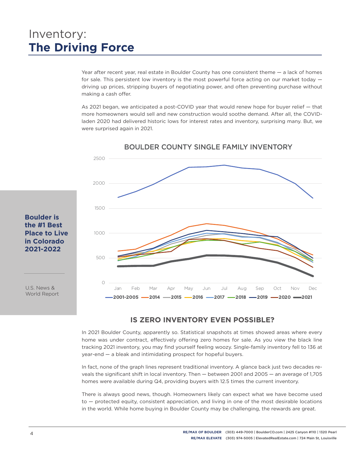# Inventory: **The Driving Force**

Year after recent year, real estate in Boulder County has one consistent theme — a lack of homes for sale. This persistent low inventory is the most powerful force acting on our market today driving up prices, stripping buyers of negotiating power, and often preventing purchase without making a cash offer.

As 2021 began, we anticipated a post-COVID year that would renew hope for buyer relief — that more homeowners would sell and new construction would soothe demand. After all, the COVIDladen 2020 had delivered historic lows for interest rates and inventory, surprising many. But, we were surprised again in 2021.



#### BOULDER COUNTY SINGLE FAMILY INVENTORY

#### **Boulder is the #1 Best Place to Live in Colorado 2021-2022**

U.S. News & World Report

#### **IS ZERO INVENTORY EVEN POSSIBLE?**

In 2021 Boulder County, apparently so. Statistical snapshots at times showed areas where every home was under contract, effectively offering zero homes for sale. As you view the black line tracking 2021 inventory, you may find yourself feeling woozy. Single-family inventory fell to 136 at year-end — a bleak and intimidating prospect for hopeful buyers.

In fact, none of the graph lines represent traditional inventory. A glance back just two decades reveals the significant shift in local inventory. Then — between 2001 and 2005 — an average of 1,705 homes were available during Q4, providing buyers with 12.5 times the current inventory.

There is always good news, though. Homeowners likely can expect what we have become used to — protected equity, consistent appreciation, and living in one of the most desirable locations in the world. While home buying in Boulder County may be challenging, the rewards are great.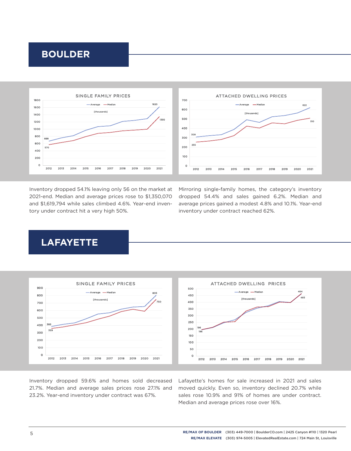### **BOULDER**



Inventory dropped 54.1% leaving only 56 on the market at 2021-end. Median and average prices rose to \$1,350,070 and \$1,619,794 while sales climbed 4.6%. Year-end inventory under contract hit a very high 50%.

Mirroring single-family homes, the category's inventory dropped 54.4% and sales gained 6.2%. Median and average prices gained a modest 4.8% and 10.1%. Year-end inventory under contract reached 62%.

## **LAFAYETTE**



Inventory dropped 59.6% and homes sold decreased 21.7%. Median and average sales prices rose 27.1% and 23.2%. Year-end inventory under contract was 67%.

Lafayette's homes for sale increased in 2021 and sales moved quickly. Even so, inventory declined 20.7% while sales rose 10.9% and 91% of homes are under contract. Median and average prices rose over 16%.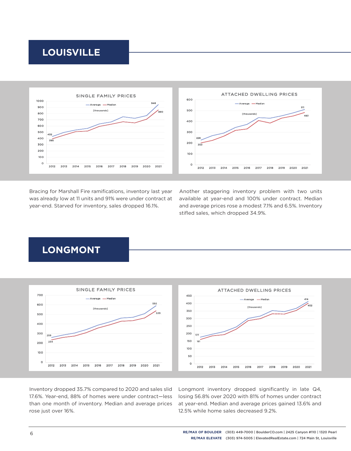### **LOUISVILLE**



Bracing for Marshall Fire ramifications, inventory last year was already low at 11 units and 91% were under contract at year-end. Starved for inventory, sales dropped 16.1%.

Another staggering inventory problem with two units available at year-end and 100% under contract. Median and average prices rose a modest 7.1% and 6.5%. Inventory stifled sales, which dropped 34.9%.

### **LONGMONT**



Inventory dropped 35.7% compared to 2020 and sales slid 17.6%. Year-end, 88% of homes were under contract—less than one month of inventory. Median and average prices rose just over 16%.

Longmont inventory dropped significantly in late  $Q4$ , losing 56.8% over 2020 with 81% of homes under contract at year-end. Median and average prices gained 13.6% and 12.5% while home sales decreased 9.2%.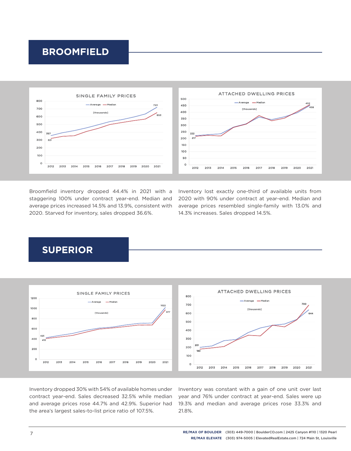### **BROOMFIELD**



Broomfield inventory dropped 44.4% in 2021 with a staggering 100% under contract year-end. Median and average prices increased 14.5% and 13.9%, consistent with 2020. Starved for inventory, sales dropped 36.6%.

Inventory lost exactly one-third of available units from 2020 with 90% under contract at year-end. Median and average prices resembled single-family with 13.0% and 14.3% increases. Sales dropped 14.5%.

### **SUPERIOR**



Inventory dropped 30% with 54% of available homes under contract year-end. Sales decreased 32.5% while median and average prices rose 44.7% and 42.9%. Superior had the area's largest sales-to-list price ratio of 107.5%.

Inventory was constant with a gain of one unit over last year and 76% under contract at year-end. Sales were up 19.3% and median and average prices rose 33.3% and 21.8%.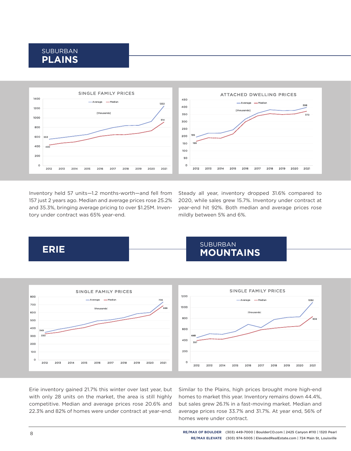### SUBURBAN **PLAINS**



Inventory held 57 units—1.2 months-worth—and fell from 157 just 2 years ago. Median and average prices rose 25.2% and 35.3%, bringing average pricing to over \$1.25M. Inventory under contract was 65% year-end.

Steady all year, inventory dropped 31.6% compared to 2020, while sales grew 15.7%. Inventory under contract at year-end hit 92%. Both median and average prices rose mildly between 5% and 6%.





Erie inventory gained 21.7% this winter over last year, but with only 28 units on the market, the area is still highly competitive. Median and average prices rose 20.6% and 22.3% and 82% of homes were under contract at year-end.

Similar to the Plains, high prices brought more high-end homes to market this year. Inventory remains down 44.4%, but sales grew 26.1% in a fast-moving market. Median and average prices rose 33.7% and 31.7%. At year end, 56% of homes were under contract.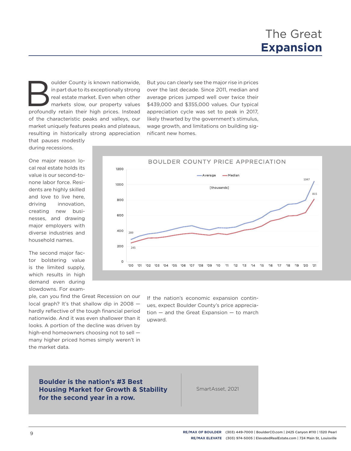oulder County is known nationwide,<br>
in part due to its exceptionally strong<br>
real estate market. Even when other<br>
markets slow, our property values<br>
profoundly retain their high prices. Instead in part due to its exceptionally strong real estate market. Even when other markets slow, our property values of the characteristic peaks and valleys, our market uniquely features peaks and plateaus, resulting in historically strong appreciation

But you can clearly see the major rise in prices over the last decade. Since 2011, median and average prices jumped well over twice their \$439,000 and \$355,000 values. Our typical appreciation cycle was set to peak in 2017, likely thwarted by the government's stimulus, wage growth, and limitations on building significant new homes.

that pauses modestly during recessions.

One major reason local real estate holds its value is our second-tonone labor force. Residents are highly skilled and love to live here, driving innovation, creating new businesses, and drawing major employers with diverse industries and household names.

The second major factor bolstering value is the limited supply, which results in high demand even during slowdowns. For exam-

ple, can you find the Great Recession on our local graph? It's that shallow dip in 2008 hardly reflective of the tough financial period nationwide. And it was even shallower than it looks. A portion of the decline was driven by high-end homeowners choosing not to sell many higher priced homes simply weren't in the market data.



If the nation's economic expansion continues, expect Boulder County's price appreciation — and the Great Expansion — to march upward.

**Boulder is the nation's #3 Best Housing Market for Growth & Stability for the second year in a row.**

SmartAsset, 2021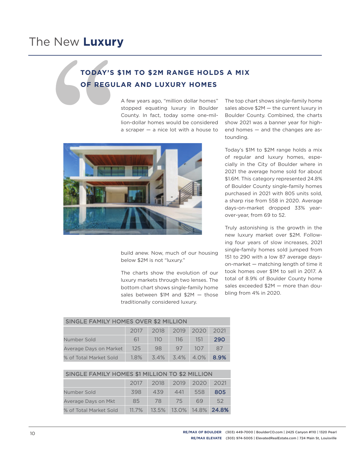### **TODAY'S \$1M TO \$2M RANGE HOLDS A MIX OF REGULAR AND LUXURY HOMES**

A few years ago, "million dollar homes" stopped equating luxury in Boulder County. In fact, today some one-million-dollar homes would be considered a scraper — a nice lot with a house to



build anew. Now, much of our housing below \$2M is not "luxury."

The charts show the evolution of our luxury markets through two lenses. The bottom chart shows single-family home sales between \$1M and \$2M — those traditionally considered luxury.

The top chart shows single-family home sales above \$2M — the current luxury in Boulder County. Combined, the charts show 2021 was a banner year for highend homes — and the changes are astounding.

Today's \$1M to \$2M range holds a mix of regular and luxury homes, especially in the City of Boulder where in 2021 the average home sold for about \$1.6M. This category represented 24.8% of Boulder County single-family homes purchased in 2021 with 805 units sold, a sharp rise from 558 in 2020. Average days-on-market dropped 33% yearover-year, from 69 to 52.

Truly astonishing is the growth in the new luxury market over \$2M. Following four years of slow increases, 2021 single-family homes sold jumped from 151 to 290 with a low 87 average dayson-market — matching length of time it took homes over \$1M to sell in 2017. A total of 8.9% of Boulder County home sales exceeded \$2M — more than doubling from 4% in 2020.

### SINGLE FAMILY HOMES OVER \$2 MILLION

|                        | 2017   |     | 2018 2019 2020 2021     |     |      |
|------------------------|--------|-----|-------------------------|-----|------|
| Number Sold            | 61     | 110 | 116                     | 151 | 290  |
| Average Days on Market | $-125$ | 98  | $97 -$                  | 107 | 87   |
| % of Total Market Sold | 1.8%   |     | $3.4\%$ $3.4\%$ $4.0\%$ |     | 8.9% |

| SINGLE FAMILY HOMES \$1 MILLION TO \$2 MILLION |  |                          |  |  |  |  |  |
|------------------------------------------------|--|--------------------------|--|--|--|--|--|
|                                                |  | 2017 2018 2019 2020 2021 |  |  |  |  |  |

| Number Sold            | 398      | 439 | 441                     | 558 | 805 |
|------------------------|----------|-----|-------------------------|-----|-----|
| Average Days on Mkt    | 85       | 78  | 75.                     | 69  | 52  |
| % of Total Market Sold | $11.7\%$ |     | 13.5% 13.0% 14.8% 24.8% |     |     |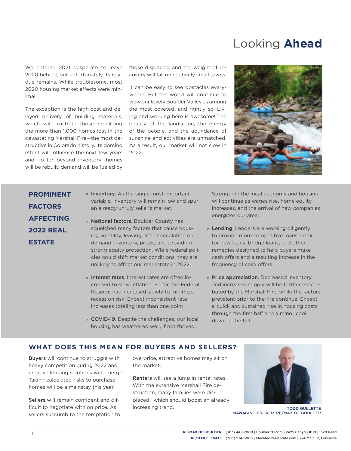# Looking **Ahead**

We entered 2021 desperate to leave 2020 behind, but unfortunately its residue remains. While troublesome, most 2020 housing market effects were minimal.

The exception is the high cost and delayed delivery of building materials, which will frustrate those rebuilding the more than 1,000 homes lost in the devastating Marshall Fire —the most destructive in Colorado history. Its domino effect will influence the next few years and go far beyond inventory—homes will be rebuilt, demand will be fueled by

those displaced, and the weight of recovery will fall on relatively small towns.

It can be easy to see obstacles everywhere. But the world will continue to view our lovely Boulder Valley as among the most coveted, and rightly so. Living and working here is awesome! The beauty of the landscape, the energy of the people, and the abundance of sunshine and activities are unmatched. As a result, our market will not slow in 2022.



### **PROMINENT FACTORS AFFECTING 2022 REAL ESTATE**

- » Inventory. As the single most important variable, inventory will remain low and spur an already unruly seller's market.
- » National factors. Boulder County has squelched many factors that cause housing volatility, leaving little speculation on demand, inventory, prices, and providing strong equity protection. While federal policies could shift market conditions, they are unlikely to affect our real estate in 2022.
- » Interest rates. Interest rates are often increased to slow inflation. So far, the Federal Reserve has increased slowly to minimize recession risk. Expect inconsistent rate increases totaling less than one point.
- » COVID-19. Despite the challenges, our local housing has weathered well, if not thrived.

Strength in the local economy and housing will continue as wages rise, home equity increases, and the arrival of new companies energizes our area.

- » Lending. Lenders are working diligently to provide more competitive loans. Look for new loans, bridge loans, and other remedies designed to help buyers make cash offers and a resulting increase in the frequency of cash offers.
- » Price appreciation. Decreased inventory and increased supply will be further exacerbated by the Marshall Fire, while the factors prevalent prior to the fire continue. Expect a quick and sustained rise in housing costs through the first half and a minor cool down in the fall.

#### **WHAT DOES THIS MEAN FOR BUYERS AND SELLERS?**

Buyers will continue to struggle with heavy competition during 2022 and creative lending solutions will emerge. Taking calculated risks to purchase homes will be a mainstay this year.

Sellers will remain confident and difficult to negotiate with on price. As sellers succumb to the temptation to overprice, attractive homes may sit on the market.

Renters will see a jump in rental rates. With the extensive Marshall Fire destruction, many families were displaced, which should boost an already increasing trend.



TODD GULLETTE MANAGING BROKER. RE/MAX OF BOULDER